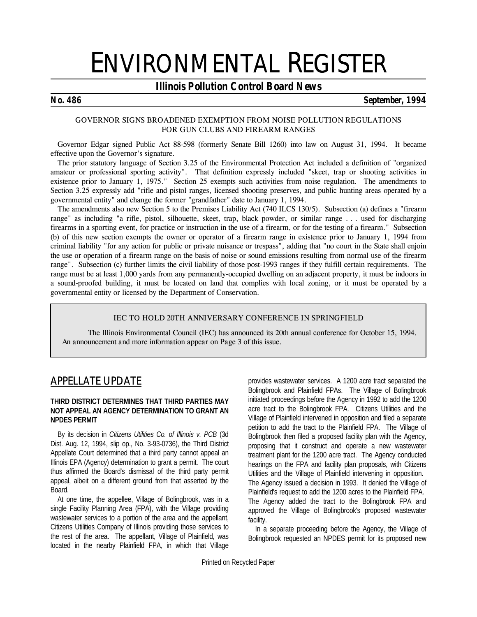# ENVIRONMENTAL REGISTER

# *Illinois Pollution Control Board News*

### *No. 486 September, 1994*

#### **GOVERNOR SIGNS BROADENED EXEMPTION FROM NOISE POLLUTION REGULATIONS FOR GUN CLUBS AND FIREARM RANGES**

Governor Edgar signed Public Act 88-598 (formerly Senate Bill 1260) into law on August 31, 1994. It became effective upon the Governor's signature.

The prior statutory language of Section 3.25 of the Environmental Protection Act included a definition of "organized amateur or professional sporting activity". That definition expressly included "skeet, trap or shooting activities in existence prior to January 1, 1975." Section 25 exempts such activities from noise regulation. The amendments to Section 3.25 expressly add "rifle and pistol ranges, licensed shooting preserves, and public hunting areas operated by a governmental entity" and change the former "grandfather" date to January 1, 1994.

The amendments also new Section 5 to the Premises Liability Act (740 ILCS 130/5). Subsection (a) defines a "firearm range" as including "a rifle, pistol, silhouette, skeet, trap, black powder, or similar range . . . used for discharging firearms in a sporting event, for practice or instruction in the use of a firearm, or for the testing of a firearm." Subsection (b) of this new section exempts the owner or operator of a firearm range in existence prior to January 1, 1994 from criminal liability "for any action for public or private nuisance or trespass", adding that "no court in the State shall enjoin the use or operation of a firearm range on the basis of noise or sound emissions resulting from normal use of the firearm range". Subsection (c) further limits the civil liability of those post-1993 ranges if they fulfill certain requirements. The range must be at least 1,000 yards from any permanently-occupied dwelling on an adjacent property, it must be indoors in a sound-proofed building, it must be located on land that complies with local zoning, or it must be operated by a governmental entity or licensed by the Department of Conservation.

#### **IEC TO HOLD 20TH ANNIVERSARY CONFERENCE IN SPRINGFIELD**

The Illinois Environmental Council (IEC) has announced its 20th annual conference for October 15, 1994.  *An announcement and more information appear on Page 3 of this issue.*

# *APPELLATE UPDATE*

#### **THIRD DISTRICT DETERMINES THAT THIRD PARTIES MAY NOT APPEAL AN AGENCY DETERMINATION TO GRANT AN NPDES PERMIT**

By its decision in *Citizens Utilities Co. of Illinois v. PCB* (3d Dist. Aug. 12, 1994, slip op., No. 3-93-0736), the Third District Appellate Court determined that a third party cannot appeal an Illinois EPA (Agency) determination to grant a permit. The court thus affirmed the Board's dismissal of the third party permit appeal, albeit on a different ground from that asserted by the Board.

At one time, the appellee, Village of Bolingbrook, was in a single Facility Planning Area (FPA), with the Village providing wastewater services to a portion of the area and the appellant, Citizens Utilities Company of Illinois providing those services to the rest of the area. The appellant, Village of Plainfield, was located in the nearby Plainfield FPA, in which that Village

provides wastewater services. A 1200 acre tract separated the Bolingbrook and Plainfield FPAs. The Village of Bolingbrook initiated proceedings before the Agency in 1992 to add the 1200 acre tract to the Bolingbrook FPA. Citizens Utilities and the Village of Plainfield intervened in opposition and filed a separate petition to add the tract to the Plainfield FPA. The Village of Bolingbrook then filed a proposed facility plan with the Agency, proposing that it construct and operate a new wastewater treatment plant for the 1200 acre tract. The Agency conducted hearings on the FPA and facility plan proposals, with Citizens Utilities and the Village of Plainfield intervening in opposition. The Agency issued a decision in 1993. It denied the Village of Plainfield's request to add the 1200 acres to the Plainfield FPA. The Agency added the tract to the Bolingbrook FPA and approved the Village of Bolingbrook's proposed wastewater facility.

In a separate proceeding before the Agency, the Village of Bolingbrook requested an NPDES permit for its proposed new

Printed on Recycled Paper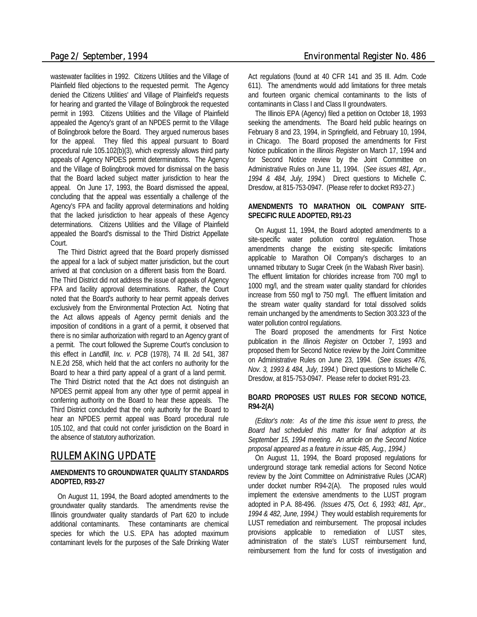wastewater facilities in 1992. Citizens Utilities and the Village of Plainfield filed objections to the requested permit. The Agency denied the Citizens Utilities' and Village of Plainfield's requests for hearing and granted the Village of Bolingbrook the requested permit in 1993. Citizens Utilities and the Village of Plainfield appealed the Agency's grant of an NPDES permit to the Village of Bolingbrook before the Board. They argued numerous bases for the appeal. They filed this appeal pursuant to Board procedural rule 105.102(b)(3), which expressly allows third party appeals of Agency NPDES permit determinations. The Agency and the Village of Bolingbrook moved for dismissal on the basis that the Board lacked subject matter jurisdiction to hear the appeal. On June 17, 1993, the Board dismissed the appeal, concluding that the appeal was essentially a challenge of the Agency's FPA and facility approval determinations and holding that the lacked jurisdiction to hear appeals of these Agency determinations. Citizens Utilities and the Village of Plainfield appealed the Board's dismissal to the Third District Appellate Court.

The Third District agreed that the Board properly dismissed the appeal for a lack of subject matter jurisdiction, but the court arrived at that conclusion on a different basis from the Board. The Third District did not address the issue of appeals of Agency FPA and facility approval determinations. Rather, the Court noted that the Board's authority to hear permit appeals derives exclusively from the Environmental Protection Act. Noting that the Act allows appeals of Agency permit denials and the imposition of conditions in a grant of a permit, it observed that there is no similar authorization with regard to an Agency grant of a permit. The court followed the Supreme Court's conclusion to this effect in *Landfill, Inc. v. PCB* (1978), 74 Ill. 2d 541, 387 N.E.2d 258, which held that the act confers no authority for the Board to hear a third party appeal of a grant of a land permit. The Third District noted that the Act does not distinguish an NPDES permit appeal from any other type of permit appeal in conferring authority on the Board to hear these appeals. The Third District concluded that the only authority for the Board to hear an NPDES permit appeal was Board procedural rule 105.102, and that could not confer jurisdiction on the Board in the absence of statutory authorization.

# *RULEMAKING UPDATE*

#### **AMENDMENTS TO GROUNDWATER QUALITY STANDARDS ADOPTED, R93-27**

On August 11, 1994, the Board adopted amendments to the groundwater quality standards. The amendments revise the Illinois groundwater quality standards of Part 620 to include additional contaminants. These contaminants are chemical species for which the U.S. EPA has adopted maximum contaminant levels for the purposes of the Safe Drinking Water Act regulations (found at 40 CFR 141 and 35 Ill. Adm. Code 611). The amendments would add limitations for three metals and fourteen organic chemical contaminants to the lists of contaminants in Class I and Class II groundwaters.

The Illinois EPA (Agency) filed a petition on October 18, 1993 seeking the amendments. The Board held public hearings on February 8 and 23, 1994, in Springfield, and February 10, 1994, in Chicago. The Board proposed the amendments for First Notice publication in the *Illinois Register* on March 17, 1994 and for Second Notice review by the Joint Committee on Administrative Rules on June 11, 1994. (*See issues 481, Apr., 1994 & 484, July, 1994.*) Direct questions to Michelle C. Dresdow, at 815-753-0947. (Please refer to docket R93-27.)

#### **AMENDMENTS TO MARATHON OIL COMPANY SITE-SPECIFIC RULE ADOPTED, R91-23**

On August 11, 1994, the Board adopted amendments to a site-specific water pollution control regulation. Those amendments change the existing site-specific limitations applicable to Marathon Oil Company's discharges to an unnamed tributary to Sugar Creek (in the Wabash River basin). The effluent limitation for chlorides increase from 700 mg/l to 1000 mg/l, and the stream water quality standard for chlorides increase from 550 mg/l to 750 mg/l. The effluent limitation and the stream water quality standard for total dissolved solids remain unchanged by the amendments to Section 303.323 of the water pollution control regulations.

The Board proposed the amendments for First Notice publication in the *Illinois Register* on October 7, 1993 and proposed them for Second Notice review by the Joint Committee on Administrative Rules on June 23, 1994. (*See issues 476, Nov. 3, 1993 & 484, July, 1994.*) Direct questions to Michelle C. Dresdow, at 815-753-0947. Please refer to docket R91-23.

### **BOARD PROPOSES UST RULES FOR SECOND NOTICE, R94-2(A)**

*(Editor's note: As of the time this issue went to press, the Board had scheduled this matter for final adoption at its September 15, 1994 meeting. An article on the Second Notice proposal appeared as a feature in issue 485, Aug., 1994.)*

On August 11, 1994, the Board proposed regulations for underground storage tank remedial actions for Second Notice review by the Joint Committee on Administrative Rules (JCAR) under docket number R94-2(A). The proposed rules would implement the extensive amendments to the LUST program adopted in P.A. 88-496. *(Issues 475, Oct. 6, 1993; 481, Apr., 1994 & 482, June, 1994.)* They would establish requirements for LUST remediation and reimbursement. The proposal includes provisions applicable to remediation of LUST sites, administration of the state's LUST reimbursement fund, reimbursement from the fund for costs of investigation and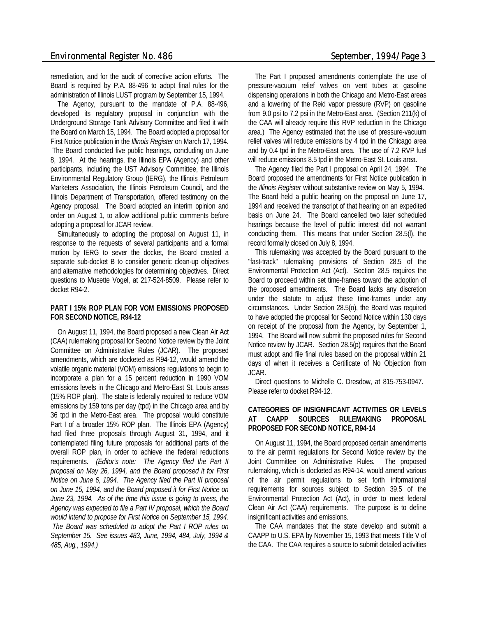remediation, and for the audit of corrective action efforts. The Board is required by P.A. 88-496 to adopt final rules for the administration of Illinois LUST program by September 15, 1994.

The Agency, pursuant to the mandate of P.A. 88-496, developed its regulatory proposal in conjunction with the Underground Storage Tank Advisory Committee and filed it with the Board on March 15, 1994. The Board adopted a proposal for First Notice publication in the *Illinois Register* on March 17, 1994. The Board conducted five public hearings, concluding on June 8, 1994. At the hearings, the Illinois EPA (Agency) and other participants, including the UST Advisory Committee, the Illinois Environmental Regulatory Group (IERG), the Illinois Petroleum Marketers Association, the Illinois Petroleum Council, and the Illinois Department of Transportation, offered testimony on the Agency proposal. The Board adopted an interim opinion and order on August 1, to allow additional public comments before adopting a proposal for JCAR review.

Simultaneously to adopting the proposal on August 11, in response to the requests of several participants and a formal motion by IERG to sever the docket, the Board created a separate sub-docket B to consider generic clean-up objectives and alternative methodologies for determining objectives. Direct questions to Musette Vogel, at 217-524-8509. Please refer to docket R94-2.

#### **PART I 15% ROP PLAN FOR VOM EMISSIONS PROPOSED FOR SECOND NOTICE, R94-12**

On August 11, 1994, the Board proposed a new Clean Air Act (CAA) rulemaking proposal for Second Notice review by the Joint Committee on Administrative Rules (JCAR). The proposed amendments, which are docketed as R94-12, would amend the volatile organic material (VOM) emissions regulations to begin to incorporate a plan for a 15 percent reduction in 1990 VOM emissions levels in the Chicago and Metro-East St. Louis areas (15% ROP plan). The state is federally required to reduce VOM emissions by 159 tons per day (tpd) in the Chicago area and by 36 tpd in the Metro-East area. The proposal would constitute Part I of a broader 15% ROP plan. The Illinois EPA (Agency) had filed three proposals through August 31, 1994, and it contemplated filing future proposals for additional parts of the overall ROP plan, in order to achieve the federal reductions requirements. *(Editor's note: The Agency filed the Part II proposal on May 26, 1994, and the Board proposed it for First Notice on June 6, 1994. The Agency filed the Part III proposal on June 15, 1994, and the Board proposed it for First Notice on June 23, 1994. As of the time this issue is going to press, the Agency was expected to file a Part IV proposal, which the Board would intend to propose for First Notice on September 15, 1994. The Board was scheduled to adopt the Part I ROP rules on September 15. See issues 483, June, 1994, 484, July, 1994 & 485, Aug., 1994.)*

The Part I proposed amendments contemplate the use of pressure-vacuum relief valves on vent tubes at gasoline dispensing operations in both the Chicago and Metro-East areas and a lowering of the Reid vapor pressure (RVP) on gasoline from 9.0 psi to 7.2 psi in the Metro-East area. (Section 211(k) of the CAA will already require this RVP reduction in the Chicago area.) The Agency estimated that the use of pressure-vacuum relief valves will reduce emissions by 4 tpd in the Chicago area and by 0.4 tpd in the Metro-East area. The use of 7.2 RVP fuel will reduce emissions 8.5 tpd in the Metro-East St. Louis area.

The Agency filed the Part I proposal on April 24, 1994. The Board proposed the amendments for First Notice publication in the *Illinois Register* without substantive review on May 5, 1994. The Board held a public hearing on the proposal on June 17, 1994 and received the transcript of that hearing on an expedited basis on June 24. The Board cancelled two later scheduled hearings because the level of public interest did not warrant conducting them. This means that under Section 28.5(l), the record formally closed on July 8, 1994.

This rulemaking was accepted by the Board pursuant to the "fast-track" rulemaking provisions of Section 28.5 of the Environmental Protection Act (Act). Section 28.5 requires the Board to proceed within set time-frames toward the adoption of the proposed amendments. The Board lacks any discretion under the statute to adjust these time-frames under any circumstances. Under Section 28.5(o), the Board was required to have adopted the proposal for Second Notice within 130 days on receipt of the proposal from the Agency, by September 1, 1994. The Board will now submit the proposed rules for Second Notice review by JCAR. Section 28.5(p) requires that the Board must adopt and file final rules based on the proposal within 21 days of when it receives a Certificate of No Objection from JCAR.

Direct questions to Michelle C. Dresdow, at 815-753-0947. Please refer to docket R94-12.

#### **CATEGORIES OF INSIGNIFICANT ACTIVITIES OR LEVELS AT CAAPP SOURCES RULEMAKING PROPOSAL PROPOSED FOR SECOND NOTICE, R94-14**

On August 11, 1994, the Board proposed certain amendments to the air permit regulations for Second Notice review by the Joint Committee on Administrative Rules. The proposed rulemaking, which is docketed as R94-14, would amend various of the air permit regulations to set forth informational requirements for sources subject to Section 39.5 of the Environmental Protection Act (Act), in order to meet federal Clean Air Act (CAA) requirements. The purpose is to define insignificant activities and emissions.

The CAA mandates that the state develop and submit a CAAPP to U.S. EPA by November 15, 1993 that meets Title V of the CAA. The CAA requires a source to submit detailed activities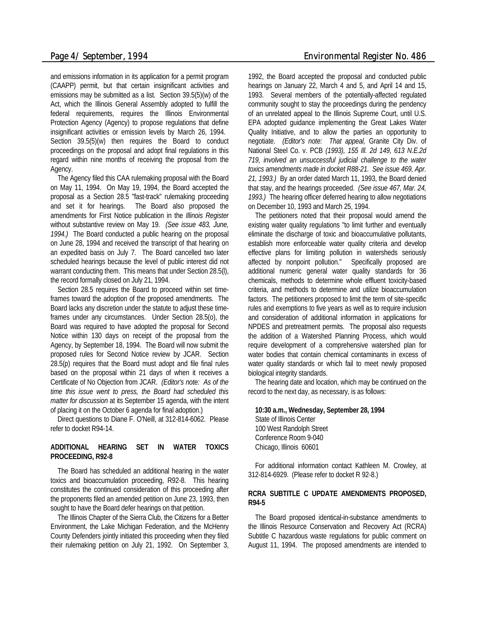and emissions information in its application for a permit program (CAAPP) permit, but that certain insignificant activities and emissions may be submitted as a list. Section 39.5(5)(w) of the Act, which the Illinois General Assembly adopted to fulfill the federal requirements, requires the Illinois Environmental Protection Agency (Agency) to propose regulations that define insignificant activities or emission levels by March 26, 1994. Section 39.5(5)(w) then requires the Board to conduct proceedings on the proposal and adopt final regulations in this regard within nine months of receiving the proposal from the Agency.

The Agency filed this CAA rulemaking proposal with the Board on May 11, 1994. On May 19, 1994, the Board accepted the proposal as a Section 28.5 "fast-track" rulemaking proceeding and set it for hearings. The Board also proposed the amendments for First Notice publication in the *Illinois Register* without substantive review on May 19. *(See issue 483, June, 1994.)* The Board conducted a public hearing on the proposal on June 28, 1994 and received the transcript of that hearing on an expedited basis on July 7. The Board cancelled two later scheduled hearings because the level of public interest did not warrant conducting them. This means that under Section 28.5(l), the record formally closed on July 21, 1994.

Section 28.5 requires the Board to proceed within set timeframes toward the adoption of the proposed amendments. The Board lacks any discretion under the statute to adjust these timeframes under any circumstances. Under Section 28.5(o), the Board was required to have adopted the proposal for Second Notice within 130 days on receipt of the proposal from the Agency, by September 18, 1994. The Board will now submit the proposed rules for Second Notice review by JCAR. Section 28.5(p) requires that the Board must adopt and file final rules based on the proposal within 21 days of when it receives a Certificate of No Objection from JCAR. *(Editor's note: As of the time this issue went to press, the Board had scheduled this matter for discussion* at its September 15 agenda, with the intent of placing it on the October 6 agenda for final adoption.)

Direct questions to Diane F. O'Neill, at 312-814-6062. Please refer to docket R94-14.

#### **ADDITIONAL HEARING SET IN WATER TOXICS PROCEEDING, R92-8**

The Board has scheduled an additional hearing in the water toxics and bioaccumulation proceeding, R92-8. This hearing constitutes the continued consideration of this proceeding after the proponents filed an amended petition on June 23, 1993, then sought to have the Board defer hearings on that petition.

The Illinois Chapter of the Sierra Club, the Citizens for a Better Environment, the Lake Michigan Federation, and the McHenry County Defenders jointly initiated this proceeding when they filed their rulemaking petition on July 21, 1992. On September 3,

1992, the Board accepted the proposal and conducted public hearings on January 22, March 4 and 5, and April 14 and 15, 1993. Several members of the potentially-affected regulated community sought to stay the proceedings during the pendency of an unrelated appeal to the Illinois Supreme Court, until U.S. EPA adopted guidance implementing the Great Lakes Water Quality Initiative, and to allow the parties an opportunity to negotiate. *(Editor's note: That appeal,* Granite City Div. of National Steel Co. v. PCB *(1993), 155 Ill. 2d 149, 613 N.E.2d 719, involved an unsuccessful judicial challenge to the water toxics amendments made in docket R88-21. See issue 469, Apr. 21, 1993.)* By an order dated March 11, 1993, the Board denied that stay, and the hearings proceeded. *(See issue 467, Mar. 24, 1993.)* The hearing officer deferred hearing to allow negotiations on December 10, 1993 and March 25, 1994.

The petitioners noted that their proposal would amend the existing water quality regulations "to limit further and eventually eliminate the discharge of toxic and bioaccumulative pollutants, establish more enforceable water quality criteria and develop effective plans for limiting pollution in watersheds seriously affected by nonpoint pollution." Specifically proposed are additional numeric general water quality standards for 36 chemicals, methods to determine whole effluent toxicity-based criteria, and methods to determine and utilize bioaccumulation factors. The petitioners proposed to limit the term of site-specific rules and exemptions to five years as well as to require inclusion and consideration of additional information in applications for NPDES and pretreatment permits. The proposal also requests the addition of a Watershed Planning Process, which would require development of a comprehensive watershed plan for water bodies that contain chemical contaminants in excess of water quality standards or which fail to meet newly proposed biological integrity standards.

The hearing date and location, which may be continued on the record to the next day, as necessary, is as follows:

#### **10:30 a.m., Wednesday, September 28, 1994** State of Illinois Center 100 West Randolph Street Conference Room 9-040 Chicago, Illinois 60601

For additional information contact Kathleen M. Crowley, at 312-814-6929. (Please refer to docket R 92-8.)

#### **RCRA SUBTITLE C UPDATE AMENDMENTS PROPOSED, R94-5**

The Board proposed identical-in-substance amendments to the Illinois Resource Conservation and Recovery Act (RCRA) Subtitle C hazardous waste regulations for public comment on August 11, 1994. The proposed amendments are intended to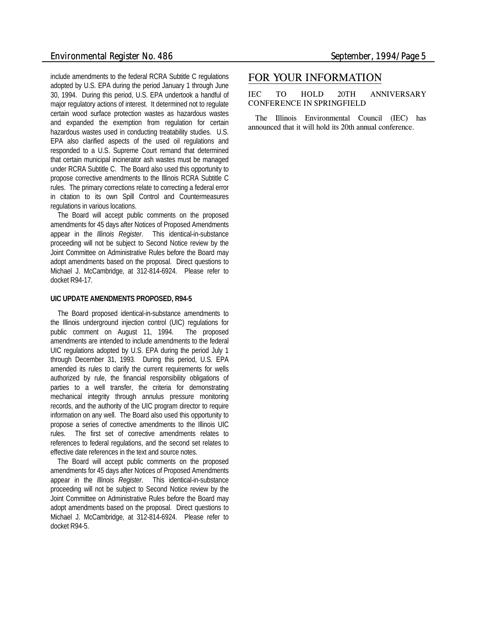include amendments to the federal RCRA Subtitle C regulations adopted by U.S. EPA during the period January 1 through June 30, 1994. During this period, U.S. EPA undertook a handful of major regulatory actions of interest. It determined not to regulate certain wood surface protection wastes as hazardous wastes and expanded the exemption from regulation for certain hazardous wastes used in conducting treatability studies. U.S. EPA also clarified aspects of the used oil regulations and responded to a U.S. Supreme Court remand that determined that certain municipal incinerator ash wastes must be managed under RCRA Subtitle C. The Board also used this opportunity to propose corrective amendments to the Illinois RCRA Subtitle C rules. The primary corrections relate to correcting a federal error in citation to its own Spill Control and Countermeasures regulations in various locations.

The Board will accept public comments on the proposed amendments for 45 days after Notices of Proposed Amendments appear in the *Illinois Register*. This identical-in-substance proceeding will not be subject to Second Notice review by the Joint Committee on Administrative Rules before the Board may adopt amendments based on the proposal. Direct questions to Michael J. McCambridge, at 312-814-6924. Please refer to docket R94-17.

#### **UIC UPDATE AMENDMENTS PROPOSED, R94-5**

The Board proposed identical-in-substance amendments to the Illinois underground injection control (UIC) regulations for public comment on August 11, 1994. The proposed amendments are intended to include amendments to the federal UIC regulations adopted by U.S. EPA during the period July 1 through December 31, 1993. During this period, U.S. EPA amended its rules to clarify the current requirements for wells authorized by rule, the financial responsibility obligations of parties to a well transfer, the criteria for demonstrating mechanical integrity through annulus pressure monitoring records, and the authority of the UIC program director to require information on any well. The Board also used this opportunity to propose a series of corrective amendments to the Illinois UIC rules. The first set of corrective amendments relates to references to federal regulations, and the second set relates to effective date references in the text and source notes.

The Board will accept public comments on the proposed amendments for 45 days after Notices of Proposed Amendments appear in the *Illinois Register*. This identical-in-substance proceeding will not be subject to Second Notice review by the Joint Committee on Administrative Rules before the Board may adopt amendments based on the proposal. Direct questions to Michael J. McCambridge, at 312-814-6924. Please refer to docket R94-5.

### *FOR YOUR INFORMATION*

**IEC TO HOLD 20TH ANNIVERSARY CONFERENCE IN SPRINGFIELD**

The Illinois Environmental Council (IEC) has announced that it will hold its 20th annual conference.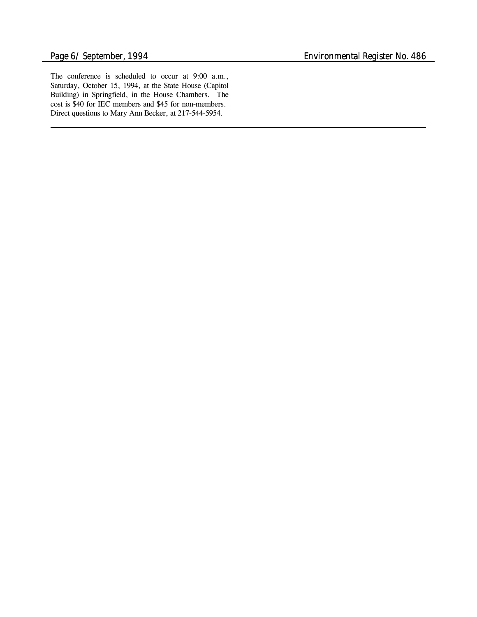The conference is scheduled to occur at 9:00 a.m., Saturday, October 15, 1994, at the State House (Capitol Building) in Springfield, in the House Chambers. The cost is \$40 for IEC members and \$45 for non-members. Direct questions to Mary Ann Becker, at 217-544-5954.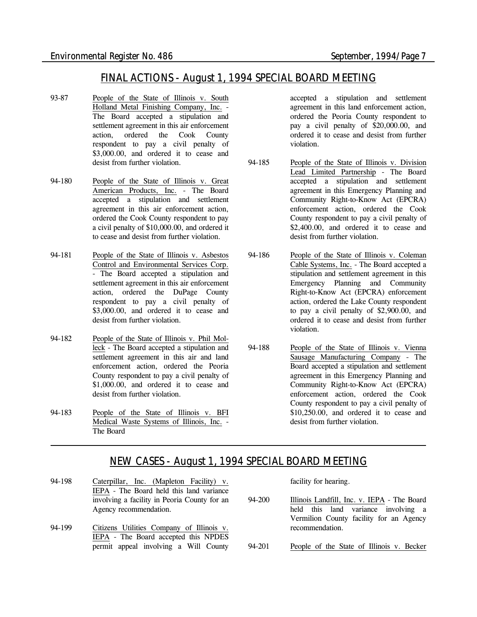# *FINAL ACTIONS - August 1, 1994 SPECIAL BOARD MEETING*

- 93-87 People of the State of Illinois v. South Holland Metal Finishing Company, Inc. - The Board accepted a stipulation and settlement agreement in this air enforcement action, ordered the Cook County respondent to pay a civil penalty of \$3,000.00, and ordered it to cease and desist from further violation.
- 94-180 People of the State of Illinois v. Great American Products, Inc. - The Board accepted a stipulation and settlement agreement in this air enforcement action, ordered the Cook County respondent to pay a civil penalty of \$10,000.00, and ordered it to cease and desist from further violation.
- 94-181 People of the State of Illinois v. Asbestos Control and Environmental Services Corp. - The Board accepted a stipulation and settlement agreement in this air enforcement action, ordered the DuPage County respondent to pay a civil penalty of \$3,000.00, and ordered it to cease and desist from further violation.
- 94-182 People of the State of Illinois v. Phil Molleck - The Board accepted a stipulation and settlement agreement in this air and land enforcement action, ordered the Peoria County respondent to pay a civil penalty of \$1,000.00, and ordered it to cease and desist from further violation.
- 94-183 People of the State of Illinois v. BFI Medical Waste Systems of Illinois, Inc. - The Board

accepted a stipulation and settlement agreement in this land enforcement action, ordered the Peoria County respondent to pay a civil penalty of \$20,000.00, and ordered it to cease and desist from further violation.

- 94-185 People of the State of Illinois v. Division Lead Limited Partnership - The Board accepted a stipulation and settlement agreement in this Emergency Planning and Community Right-to-Know Act (EPCRA) enforcement action, ordered the Cook County respondent to pay a civil penalty of \$2,400.00, and ordered it to cease and desist from further violation.
- 94-186 People of the State of Illinois v. Coleman Cable Systems, Inc. - The Board accepted a stipulation and settlement agreement in this Emergency Planning and Community Right-to-Know Act (EPCRA) enforcement action, ordered the Lake County respondent to pay a civil penalty of \$2,900.00, and ordered it to cease and desist from further violation.
- 94-188 People of the State of Illinois v. Vienna Sausage Manufacturing Company - The Board accepted a stipulation and settlement agreement in this Emergency Planning and Community Right-to-Know Act (EPCRA) enforcement action, ordered the Cook County respondent to pay a civil penalty of \$10,250.00, and ordered it to cease and desist from further violation.

# *NEW CASES - August 1, 1994 SPECIAL BOARD MEETING*

- 94-198 Caterpillar, Inc. (Mapleton Facility) v. IEPA - The Board held this land variance involving a facility in Peoria County for an Agency recommendation.
- 94-199 Citizens Utilities Company of Illinois v. IEPA - The Board accepted this NPDES permit appeal involving a Will County

facility for hearing.

- 94-200 Illinois Landfill, Inc. v. IEPA The Board held this land variance involving a Vermilion County facility for an Agency recommendation.
- 94-201 People of the State of Illinois v. Becker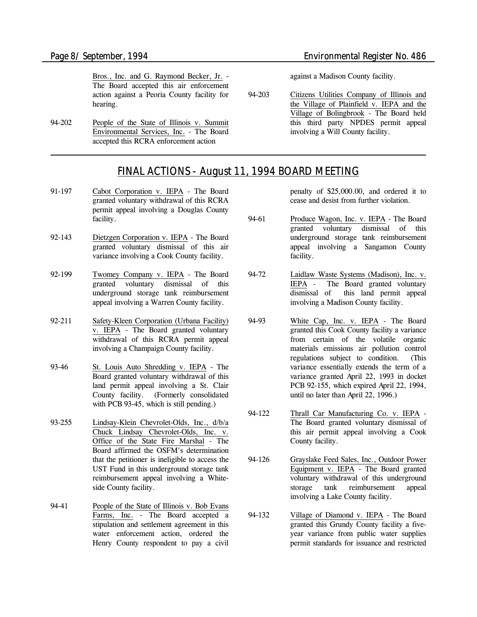Bros., Inc. and G. Raymond Becker, Jr. - The Board accepted this air enforcement action against a Peoria County facility for hearing.

94-202 People of the State of Illinois v. Summit Environmental Services, Inc. - The Board accepted this RCRA enforcement action

*Page 8/ September, 1994 Environmental Register No. 486*

against a Madison County facility.

94-203 Citizens Utilities Company of Illinois and the Village of Plainfield v. IEPA and the Village of Bolingbrook - The Board held this third party NPDES permit appeal involving a Will County facility.

# *FINAL ACTIONS - August 11, 1994 BOARD MEETING*

- 91-197 Cabot Corporation v. IEPA The Board granted voluntary withdrawal of this RCRA permit appeal involving a Douglas County facility.
- 92-143 Dietzgen Corporation v. IEPA The Board granted voluntary dismissal of this air variance involving a Cook County facility.
- 92-199 Twomey Company v. IEPA The Board granted voluntary dismissal of this underground storage tank reimbursement appeal involving a Warren County facility.
- 92-211 Safety-Kleen Corporation (Urbana Facility) v. IEPA - The Board granted voluntary withdrawal of this RCRA permit appeal involving a Champaign County facility.
- 93-46 St. Louis Auto Shredding v. IEPA The Board granted voluntary withdrawal of this land permit appeal involving a St. Clair County facility. *(Formerly consolidated with PCB 93-45, which is still pending.)*
- 93-255 Lindsay-Klein Chevrolet-Olds, Inc., d/b/a Chuck Lindsay Chevrolet-Olds, Inc. v. Office of the State Fire Marshal - The Board affirmed the OSFM's determination that the petitioner is ineligible to access the UST Fund in this underground storage tank reimbursement appeal involving a Whiteside County facility.
- 94-41 People of the State of Illinois v. Bob Evans Farms, Inc. - The Board accepted a stipulation and settlement agreement in this water enforcement action, ordered the Henry County respondent to pay a civil

penalty of \$25,000.00, and ordered it to cease and desist from further violation.

94-61 Produce Wagon, Inc. v. IEPA - The Board granted voluntary dismissal of this underground storage tank reimbursement appeal involving a Sangamon County facility.

- 94-72 Laidlaw Waste Systems (Madison), Inc. v.<br>IEPA The Board granted voluntary The Board granted voluntary dismissal of this land permit appeal involving a Madison County facility.
- 94-93 White Cap, Inc. v. IEPA The Board granted this Cook County facility a variance from certain of the volatile organic materials emissions air pollution control regulations subject to condition. *(This variance essentially extends the term of a variance granted April 22, 1993 in docket PCB 92-155, which expired April 22, 1994, until no later than April 22, 1996.)*
- 94-122 Thrall Car Manufacturing Co. v. IEPA The Board granted voluntary dismissal of this air permit appeal involving a Cook County facility.
- 94-126 Grayslake Feed Sales, Inc., Outdoor Power Equipment v. IEPA - The Board granted voluntary withdrawal of this underground storage tank reimbursement appeal involving a Lake County facility.
- 94-132 Village of Diamond v. IEPA The Board granted this Grundy County facility a fiveyear variance from public water supplies permit standards for issuance and restricted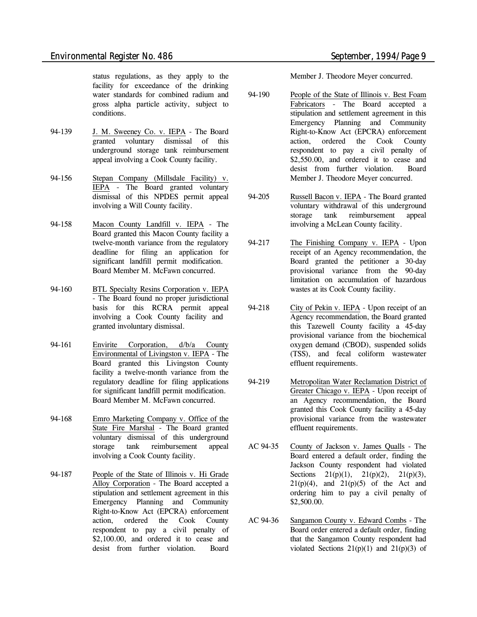status regulations, as they apply to the facility for exceedance of the drinking water standards for combined radium and gross alpha particle activity, subject to conditions.

- 94-139 J. M. Sweeney Co. v. IEPA The Board granted voluntary dismissal of this underground storage tank reimbursement appeal involving a Cook County facility.
- 94-156 Stepan Company (Millsdale Facility) v. IEPA - The Board granted voluntary dismissal of this NPDES permit appeal involving a Will County facility.
- 94-158 Macon County Landfill v. IEPA The Board granted this Macon County facility a twelve-month variance from the regulatory deadline for filing an application for significant landfill permit modification. Board Member M. McFawn concurred.
- 94-160 BTL Specialty Resins Corporation v. IEPA - The Board found no proper jurisdictional basis for this RCRA permit appeal involving a Cook County facility and granted involuntary dismissal.
- 94-161 Envirite Corporation, d/b/a County Environmental of Livingston v. IEPA - The Board granted this Livingston County facility a twelve-month variance from the regulatory deadline for filing applications for significant landfill permit modification. Board Member M. McFawn concurred.
- 94-168 Emro Marketing Company v. Office of the State Fire Marshal - The Board granted voluntary dismissal of this underground storage tank reimbursement appeal involving a Cook County facility.
- 94-187 People of the State of Illinois v. Hi Grade Alloy Corporation - The Board accepted a stipulation and settlement agreement in this Emergency Planning and Community Right-to-Know Act (EPCRA) enforcement action, ordered the Cook County respondent to pay a civil penalty of \$2,100.00, and ordered it to cease and desist from further violation. Board

Member J. Theodore Meyer concurred.

- 94-190 People of the State of Illinois v. Best Foam Fabricators - The Board accepted a stipulation and settlement agreement in this Emergency Planning and Community Right-to-Know Act (EPCRA) enforcement action, ordered the Cook County respondent to pay a civil penalty of \$2,550.00, and ordered it to cease and desist from further violation. Board Member J. Theodore Meyer concurred.
- 94-205 Russell Bacon v. IEPA The Board granted voluntary withdrawal of this underground storage tank reimbursement appeal involving a McLean County facility.
- 94-217 The Finishing Company v. IEPA Upon receipt of an Agency recommendation, the Board granted the petitioner a 30-day provisional variance from the 90-day limitation on accumulation of hazardous wastes at its Cook County facility.
- 94-218 City of Pekin v. IEPA Upon receipt of an Agency recommendation, the Board granted this Tazewell County facility a 45-day provisional variance from the biochemical oxygen demand (CBOD), suspended solids (TSS), and fecal coliform wastewater effluent requirements.
- 94-219 Metropolitan Water Reclamation District of Greater Chicago v. IEPA - Upon receipt of an Agency recommendation, the Board granted this Cook County facility a 45-day provisional variance from the wastewater effluent requirements.
- AC 94-35 County of Jackson v. James Qualls The Board entered a default order, finding the Jackson County respondent had violated Sections  $21(p)(1)$ ,  $21(p)(2)$ ,  $21(p)(3)$ ,  $21(p)(4)$ , and  $21(p)(5)$  of the Act and ordering him to pay a civil penalty of \$2,500.00.
- AC 94-36 Sangamon County v. Edward Combs The Board order entered a default order, finding that the Sangamon County respondent had violated Sections  $21(p)(1)$  and  $21(p)(3)$  of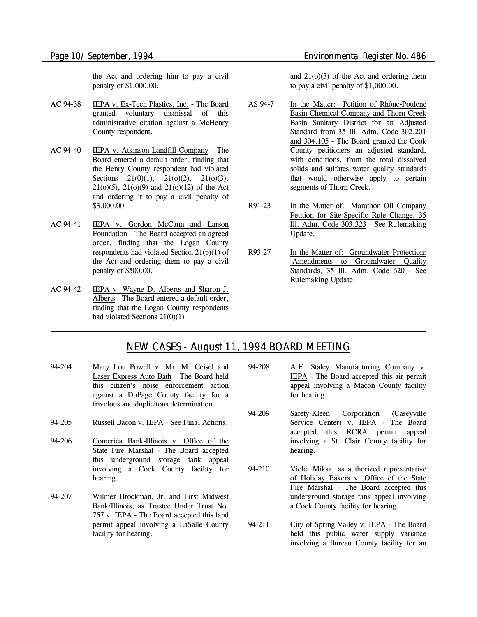the Act and ordering him to pay a civil penalty of \$1,000.00.

- AC 94-38 IEPA v. Ex-Tech Plastics, Inc. The Board granted voluntary dismissal of this administrative citation against a McHenry County respondent.
- AC 94-40 IEPA v. Atkinson Landfill Company The Board entered a default order, finding that the Henry County respondent had violated Sections  $21(0)(1)$ ,  $21(0)(2)$ ,  $21(0)(3)$ , 21(o)(5), 21(o)(9) and 21(o)(12) of the Act and ordering it to pay a civil penalty of \$3,000.00.
- AC 94-41 IEPA v. Gordon McCann and Larson Foundation - The Board accepted an agreed order, finding that the Logan County respondents had violated Section 21(p)(1) of the Act and ordering them to pay a civil penalty of \$500.00.
- AC 94-42 IEPA v. Wayne D. Alberts and Sharon J. Alberts - The Board entered a default order, finding that the Logan County respondents had violated Sections 21(0)(1)

and 21(o)(3) of the Act and ordering them to pay a civil penalty of \$1,000.00.

- AS 94-7 In the Matter: Petition of Rhône-Poulenc Basin Chemical Company and Thorn Creek Basin Sanitary District for an Adjusted Standard from 35 Ill. Adm. Code 302.201 and 304.105 - The Board granted the Cook County petitioners an adjusted standard, with conditions, from the total dissolved solids and sulfates water quality standards that would otherwise apply to certain segments of Thorn Creek.
- R91-23 In the Matter of: Marathon Oil Company Petition for Site-Specific Rule Change, 35 Ill. Adm. Code 303.323 - *See Rulemaking Update.*
- R93-27 In the Matter of: Groundwater Protection: Amendments to Groundwater Quality Standards, 35 Ill. Adm. Code 620 - *See Rulemaking Update.*

# *NEW CASES - August 11, 1994 BOARD MEETING*

- 94-204 Mary Lou Powell v. Mr. M. Ceisel and Laser Express Auto Bath - The Board held this citizen's noise enforcement action against a DuPage County facility for a frivolous and duplicitous determination.
- 94-205 Russell Bacon v. IEPA *See Final Actions.*
- 94-206 Comerica Bank-Illinois v. Office of the State Fire Marshal - The Board accepted this underground storage tank appeal involving a Cook County facility for hearing.
- 94-207 Wilmer Brockman, Jr. and First Midwest Bank/Illinois, as Trustee Under Trust No. 757 v. IEPA - The Board accepted this land permit appeal involving a LaSalle County facility for hearing.
- 94-208 A.E. Staley Manufacturing Company v. IEPA - The Board accepted this air permit appeal involving a Macon County facility for hearing.
- 94-209 Safety-Kleen Corporation (Caseyville Service Center) v. IEPA - The Board accepted this RCRA permit appeal involving a St. Clair County facility for hearing.
- 94-210 Violet Miksa, as authorized representative of Holiday Bakers v. Office of the State Fire Marshal - The Board accepted this underground storage tank appeal involving a Cook County facility for hearing.
- 94-211 City of Spring Valley v. IEPA The Board held this public water supply variance involving a Bureau County facility for an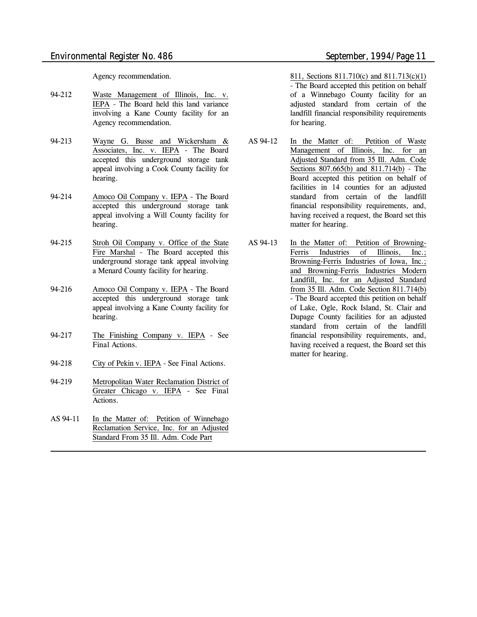Agency recommendation.

- 94-212 Waste Management of Illinois, Inc. v. IEPA - The Board held this land variance involving a Kane County facility for an Agency recommendation.
- 94-213 Wayne G. Busse and Wickersham & Associates, Inc. v. IEPA - The Board accepted this underground storage tank appeal involving a Cook County facility for hearing.
- 94-214 Amoco Oil Company v. IEPA The Board accepted this underground storage tank appeal involving a Will County facility for hearing.
- 94-215 Stroh Oil Company v. Office of the State Fire Marshal - The Board accepted this underground storage tank appeal involving a Menard County facility for hearing.
- 94-216 Amoco Oil Company v. IEPA The Board accepted this underground storage tank appeal involving a Kane County facility for hearing.
- 94-217 The Finishing Company v. IEPA *See Final Actions.*
- 94-218 City of Pekin v. IEPA *See Final Actions.*
- 94-219 Metropolitan Water Reclamation District of Greater Chicago v. IEPA - *See Final Actions.*
- AS 94-11 In the Matter of: Petition of Winnebago Reclamation Service, Inc. for an Adjusted Standard From 35 Ill. Adm. Code Part

811, Sections 811.710(c) and 811.713(c)(1) - The Board accepted this petition on behalf of a Winnebago County facility for an adjusted standard from certain of the landfill financial responsibility requirements for hearing.

- AS 94-12 In the Matter of: Petition of Waste Management of Illinois, Inc. for an Adjusted Standard from 35 Ill. Adm. Code Sections 807.665(b) and 811.714(b) - The Board accepted this petition on behalf of facilities in 14 counties for an adjusted standard from certain of the landfill financial responsibility requirements, and, having received a request, the Board set this matter for hearing.
- AS 94-13 In the Matter of: Petition of Browning-Ferris Industries of Illinois, Inc.; Browning-Ferris Industries of Iowa, Inc.; and Browning-Ferris Industries Modern Landfill, Inc. for an Adjusted Standard from 35 Ill. Adm. Code Section 811.714(b) - The Board accepted this petition on behalf of Lake, Ogle, Rock Island, St. Clair and Dupage County facilities for an adjusted standard from certain of the landfill financial responsibility requirements, and, having received a request, the Board set this matter for hearing.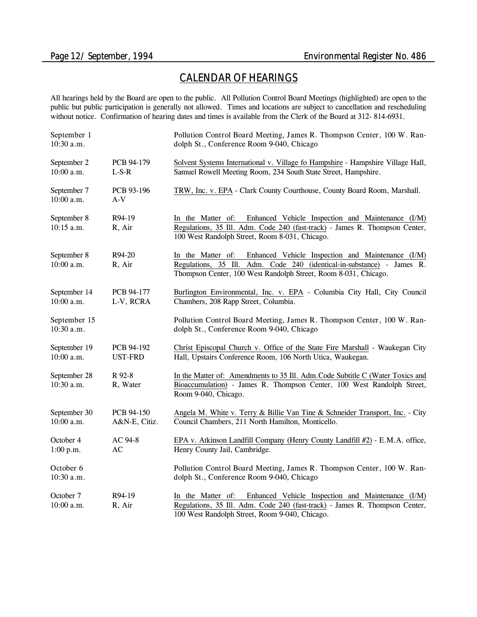# *CALENDAR OF HEARINGS*

All hearings held by the Board are open to the public. All Pollution Control Board Meetings (highlighted) are open to the public but public participation is generally not allowed. Times and locations are subject to cancellation and rescheduling without notice. Confirmation of hearing dates and times is available from the Clerk of the Board at 312- 814-6931.

| September 1<br>10:30 a.m.  |                              | Pollution Control Board Meeting, James R. Thompson Center, 100 W. Ran-<br>dolph St., Conference Room 9-040, Chicago                                                                                                 |
|----------------------------|------------------------------|---------------------------------------------------------------------------------------------------------------------------------------------------------------------------------------------------------------------|
| September 2<br>10:00 a.m.  | PCB 94-179<br>$L-S-R$        | Solvent Systems International v. Village fo Hampshire - Hampshire Village Hall,<br>Samuel Rowell Meeting Room, 234 South State Street, Hampshire.                                                                   |
| September 7<br>10:00 a.m.  | PCB 93-196<br>$A-V$          | TRW, Inc. v. EPA - Clark County Courthouse, County Board Room, Marshall.                                                                                                                                            |
| September 8<br>10:15 a.m.  | R94-19<br>R, Air             | In the Matter of: Enhanced Vehicle Inspection and Maintenance (I/M)<br>Regulations, 35 Ill. Adm. Code 240 (fast-track) - James R. Thompson Center,<br>100 West Randolph Street, Room 8-031, Chicago.                |
| September 8<br>10:00 a.m.  | R94-20<br>R, Air             | In the Matter of:<br>Enhanced Vehicle Inspection and Maintenance (I/M)<br>Regulations, 35 Ill. Adm. Code 240 (identical-in-substance) - James R.<br>Thompson Center, 100 West Randolph Street, Room 8-031, Chicago. |
| September 14<br>10:00 a.m. | PCB 94-177<br>L-V, RCRA      | Burlington Environmental, Inc. v. EPA - Columbia City Hall, City Council<br>Chambers, 208 Rapp Street, Columbia.                                                                                                    |
| September 15<br>10:30 a.m. |                              | Pollution Control Board Meeting, James R. Thompson Center, 100 W. Ran-<br>dolph St., Conference Room 9-040, Chicago                                                                                                 |
| September 19<br>10:00 a.m. | PCB 94-192<br><b>UST-FRD</b> | Christ Episcopal Church v. Office of the State Fire Marshall - Waukegan City<br>Hall, Upstairs Conference Room, 106 North Utica, Waukegan.                                                                          |
| September 28<br>10:30 a.m. | R 92-8<br>R, Water           | In the Matter of: Amendments to 35 Ill. Adm. Code Subtitle C (Water Toxics and<br>Bioaccumulation) - James R. Thompson Center, 100 West Randolph Street,<br>Room 9-040, Chicago.                                    |
| September 30<br>10:00 a.m. | PCB 94-150<br>A&N-E, Citiz.  | Angela M. White v. Terry & Billie Van Tine & Schneider Transport, Inc. - City<br>Council Chambers, 211 North Hamilton, Monticello.                                                                                  |
| October 4<br>1:00 p.m.     | AC 94-8<br>AC                | EPA v. Atkinson Landfill Company (Henry County Landfill #2) - E.M.A. office,<br>Henry County Jail, Cambridge.                                                                                                       |
| October 6<br>10:30 a.m.    |                              | Pollution Control Board Meeting, James R. Thompson Center, 100 W. Ran-<br>dolph St., Conference Room 9-040, Chicago                                                                                                 |
| October 7<br>10:00 a.m.    | R94-19<br>R, Air             | Enhanced Vehicle Inspection and Maintenance (I/M)<br>In the Matter of:<br>Regulations, 35 Ill. Adm. Code 240 (fast-track) - James R. Thompson Center,<br>100 West Randolph Street, Room 9-040, Chicago.             |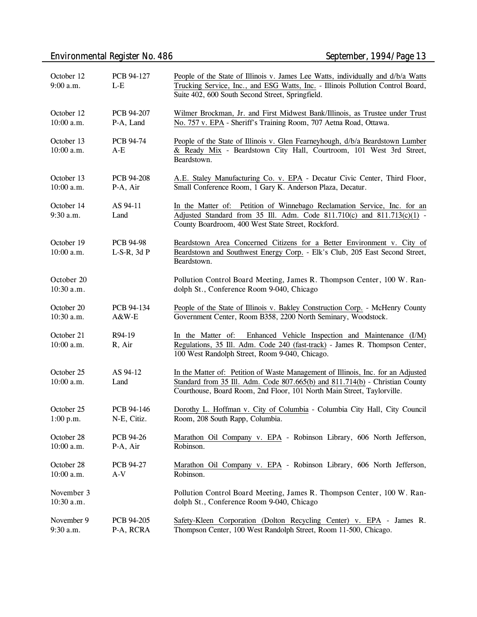# *Environmental Register No. 486 September, 1994/Page 13*

| October 12<br>9:00 a.m.  | PCB 94-127<br>$L-E$                  | People of the State of Illinois v. James Lee Watts, individually and d/b/a Watts<br>Trucking Service, Inc., and ESG Watts, Inc. - Illinois Pollution Control Board,<br>Suite 402, 600 South Second Street, Springfield.                    |  |
|--------------------------|--------------------------------------|--------------------------------------------------------------------------------------------------------------------------------------------------------------------------------------------------------------------------------------------|--|
| October 12<br>10:00 a.m. | PCB 94-207<br>P-A, Land              | Wilmer Brockman, Jr. and First Midwest Bank/Illinois, as Trustee under Trust<br>No. 757 v. EPA - Sheriff's Training Room, 707 Aetna Road, Ottawa.                                                                                          |  |
| October 13<br>10:00 a.m. | <b>PCB 94-74</b><br>$A-E$            | People of the State of Illinois v. Glen Fearneyhough, d/b/a Beardstown Lumber<br>& Ready Mix - Beardstown City Hall, Courtroom, 101 West 3rd Street,<br>Beardstown.                                                                        |  |
| October 13<br>10:00 a.m. | PCB 94-208<br>P-A, Air               | A.E. Staley Manufacturing Co. v. EPA - Decatur Civic Center, Third Floor,<br>Small Conference Room, 1 Gary K. Anderson Plaza, Decatur.                                                                                                     |  |
| October 14<br>9:30 a.m.  | AS 94-11<br>Land                     | In the Matter of: Petition of Winnebago Reclamation Service, Inc. for an<br>Adjusted Standard from 35 Ill. Adm. Code 811.710(c) and 811.713(c)(1) -<br>County Boardroom, 400 West State Street, Rockford.                                  |  |
| October 19<br>10:00 a.m. | <b>PCB 94-98</b><br>$L-S-R$ , 3d $P$ | Beardstown Area Concerned Citizens for a Better Environment v. City of<br>Beardstown and Southwest Energy Corp. - Elk's Club, 205 East Second Street,<br>Beardstown.                                                                       |  |
| October 20<br>10:30 a.m. |                                      | Pollution Control Board Meeting, James R. Thompson Center, 100 W. Ran-<br>dolph St., Conference Room 9-040, Chicago                                                                                                                        |  |
| October 20<br>10:30 a.m. | PCB 94-134<br>A&W-E                  | People of the State of Illinois v. Bakley Construction Corp. - McHenry County<br>Government Center, Room B358, 2200 North Seminary, Woodstock.                                                                                             |  |
| October 21<br>10:00 a.m. | R94-19<br>R, Air                     | In the Matter of: Enhanced Vehicle Inspection and Maintenance (I/M)<br>Regulations, 35 Ill. Adm. Code 240 (fast-track) - James R. Thompson Center,<br>100 West Randolph Street, Room 9-040, Chicago.                                       |  |
| October 25<br>10:00 a.m. | AS 94-12<br>Land                     | In the Matter of: Petition of Waste Management of Illinois, Inc. for an Adjusted<br>Standard from 35 Ill. Adm. Code 807.665(b) and 811.714(b) - Christian County<br>Courthouse, Board Room, 2nd Floor, 101 North Main Street, Taylorville. |  |
| October 25<br>1:00 p.m.  | PCB 94-146<br>N-E, Citiz.            | Dorothy L. Hoffman v. City of Columbia - Columbia City Hall, City Council<br>Room, 208 South Rapp, Columbia.                                                                                                                               |  |
| October 28<br>10:00 a.m. | PCB 94-26<br>P-A, Air                | Marathon Oil Company v. EPA - Robinson Library, 606 North Jefferson,<br>Robinson.                                                                                                                                                          |  |
| October 28<br>10:00 a.m. | PCB 94-27<br>$A-V$                   | Marathon Oil Company v. EPA - Robinson Library, 606 North Jefferson,<br>Robinson.                                                                                                                                                          |  |
| November 3<br>10:30 a.m. |                                      | Pollution Control Board Meeting, James R. Thompson Center, 100 W. Ran-<br>dolph St., Conference Room 9-040, Chicago                                                                                                                        |  |
| November 9<br>9:30 a.m.  | PCB 94-205<br>P-A, RCRA              | Safety-Kleen Corporation (Dolton Recycling Center) v. EPA - James R.<br>Thompson Center, 100 West Randolph Street, Room 11-500, Chicago.                                                                                                   |  |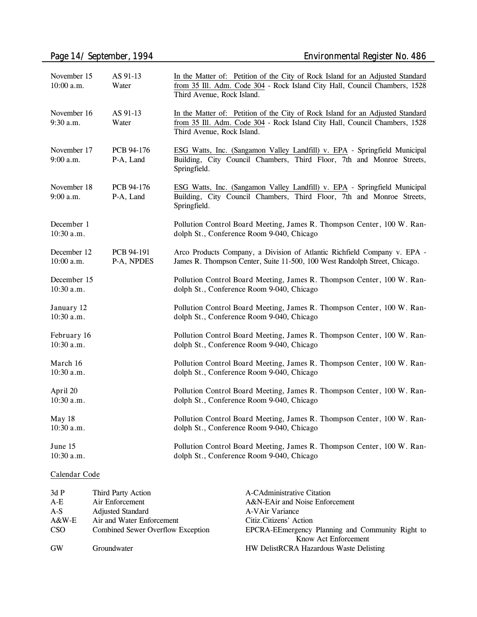| November 15<br>10:00 a.m.   | AS 91-13<br>Water        | In the Matter of: Petition of the City of Rock Island for an Adjusted Standard<br>from 35 Ill. Adm. Code 304 - Rock Island City Hall, Council Chambers, 1528<br>Third Avenue, Rock Island. |
|-----------------------------|--------------------------|--------------------------------------------------------------------------------------------------------------------------------------------------------------------------------------------|
| November 16<br>9:30 a.m.    | AS 91-13<br>Water        | In the Matter of: Petition of the City of Rock Island for an Adjusted Standard<br>from 35 Ill. Adm. Code 304 - Rock Island City Hall, Council Chambers, 1528<br>Third Avenue, Rock Island. |
| November 17<br>9:00 a.m.    | PCB 94-176<br>P-A, Land  | ESG Watts, Inc. (Sangamon Valley Landfill) v. EPA - Springfield Municipal<br>Building, City Council Chambers, Third Floor, 7th and Monroe Streets,<br>Springfield.                         |
| November 18<br>$9:00$ a.m.  | PCB 94-176<br>P-A, Land  | ESG Watts, Inc. (Sangamon Valley Landfill) v. EPA - Springfield Municipal<br>Building, City Council Chambers, Third Floor, 7th and Monroe Streets,<br>Springfield.                         |
| December 1<br>10:30 a.m.    |                          | Pollution Control Board Meeting, James R. Thompson Center, 100 W. Ran-<br>dolph St., Conference Room 9-040, Chicago                                                                        |
| December 12<br>10:00 a.m.   | PCB 94-191<br>P-A, NPDES | Arco Products Company, a Division of Atlantic Richfield Company v. EPA -<br>James R. Thompson Center, Suite 11-500, 100 West Randolph Street, Chicago.                                     |
| December 15<br>$10:30$ a.m. |                          | Pollution Control Board Meeting, James R. Thompson Center, 100 W. Ran-<br>dolph St., Conference Room 9-040, Chicago                                                                        |
| January 12<br>$10:30$ a.m.  |                          | Pollution Control Board Meeting, James R. Thompson Center, 100 W. Ran-<br>dolph St., Conference Room 9-040, Chicago                                                                        |
| February 16<br>10:30 a.m.   |                          | Pollution Control Board Meeting, James R. Thompson Center, 100 W. Ran-<br>dolph St., Conference Room 9-040, Chicago                                                                        |
| March 16<br>10:30 a.m.      |                          | Pollution Control Board Meeting, James R. Thompson Center, 100 W. Ran-<br>dolph St., Conference Room 9-040, Chicago                                                                        |
| April 20<br>10:30 a.m.      |                          | Pollution Control Board Meeting, James R. Thompson Center, 100 W. Ran-<br>dolph St., Conference Room 9-040, Chicago                                                                        |
| May 18<br>10:30 a.m.        |                          | Pollution Control Board Meeting, James R. Thompson Center, 100 W. Ran-<br>dolph St., Conference Room 9-040, Chicago                                                                        |
| June 15<br>10:30 a.m.       |                          | Pollution Control Board Meeting, James R. Thompson Center, 100 W. Ran-<br>dolph St., Conference Room 9-040, Chicago                                                                        |

### **Calendar Code**

| 3dP     | Third Party Action                | A-CAdministrative Citation                       |
|---------|-----------------------------------|--------------------------------------------------|
| $A-E$   | Air Enforcement                   | A&N-EAir and Noise Enforcement                   |
| $A-S$   | <b>Adjusted Standard</b>          | A-VAir Variance                                  |
| $A&W-E$ | Air and Water Enforcement         | Citiz.Citizens' Action                           |
| CSO     | Combined Sewer Overflow Exception | EPCRA-EEmergency Planning and Community Right to |
|         |                                   | Know Act Enforcement                             |
| GW      | Groundwater                       | <b>HW DelistRCRA Hazardous Waste Delisting</b>   |
|         |                                   |                                                  |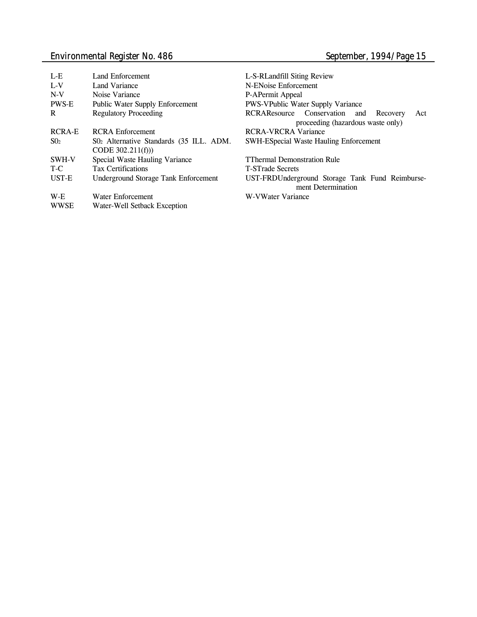# *Environmental Register No. 486 September, 1994/Page 15*

| L-E           | Land Enforcement                                              | L-S-RLandfill Siting Review                                                              |
|---------------|---------------------------------------------------------------|------------------------------------------------------------------------------------------|
| $L-V$         | Land Variance                                                 | N-ENoise Enforcement                                                                     |
| $N-V$         | Noise Variance                                                | P-APermit Appeal                                                                         |
| <b>PWS-E</b>  | <b>Public Water Supply Enforcement</b>                        | <b>PWS-VPublic Water Supply Variance</b>                                                 |
| R             | <b>Regulatory Proceeding</b>                                  | RCRAResource Conservation<br>Act<br>Recovery<br>and<br>proceeding (hazardous waste only) |
| <b>RCRA-E</b> | <b>RCRA</b> Enforcement                                       | <b>RCRA-VRCRA Variance</b>                                                               |
| $S_{02}$      | S02 Alternative Standards (35 ILL. ADM.<br>CODE $302.211(f))$ | <b>SWH-ESpecial Waste Hauling Enforcement</b>                                            |
| SWH-V         | Special Waste Hauling Variance                                | <b>TThermal Demonstration Rule</b>                                                       |
| T-C           | <b>Tax Certifications</b>                                     | <b>T-STrade Secrets</b>                                                                  |
| UST-E         | <b>Underground Storage Tank Enforcement</b>                   | UST-FRDUnderground Storage Tank Fund Reimburse-<br>ment Determination                    |
| $W-E$         | Water Enforcement                                             | W-VWater Variance                                                                        |
| <b>WWSE</b>   | Water-Well Setback Exception                                  |                                                                                          |